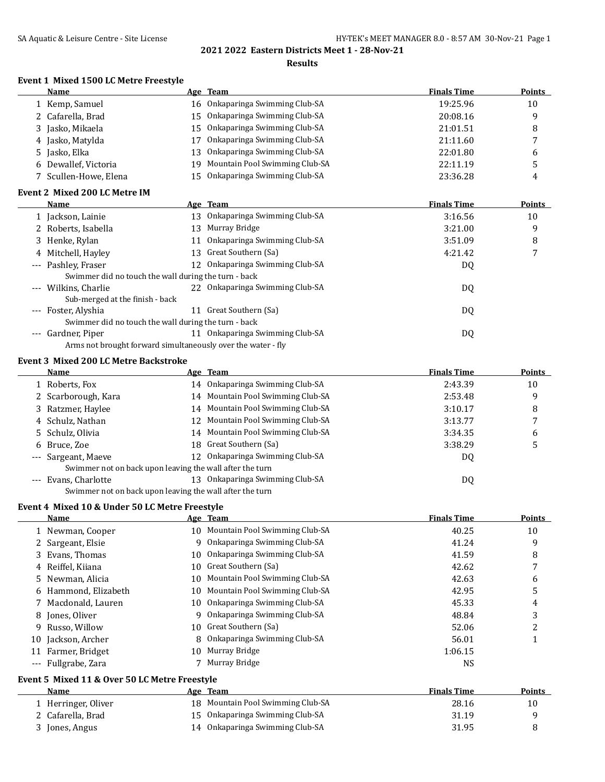### **Results**

## **Event 1 Mixed 1500 LC Metre Freestyle**

|    | Name                                                         |    | Age Team                          | <b>Finals Time</b> | <b>Points</b> |
|----|--------------------------------------------------------------|----|-----------------------------------|--------------------|---------------|
|    | 1 Kemp, Samuel                                               |    | 16 Onkaparinga Swimming Club-SA   | 19:25.96           | 10            |
|    | 2 Cafarella, Brad                                            |    | 15 Onkaparinga Swimming Club-SA   | 20:08.16           | 9             |
|    | 3 Jasko, Mikaela                                             |    | 15 Onkaparinga Swimming Club-SA   | 21:01.51           | 8             |
|    | 4 Jasko, Matylda                                             | 17 | Onkaparinga Swimming Club-SA      | 21:11.60           | 7             |
|    | 5 Jasko, Elka                                                |    | 13 Onkaparinga Swimming Club-SA   | 22:01.80           | 6             |
|    | 6 Dewallef, Victoria                                         |    | 19 Mountain Pool Swimming Club-SA | 22:11.19           | 5             |
|    | 7 Scullen-Howe, Elena                                        |    | 15 Onkaparinga Swimming Club-SA   | 23:36.28           | 4             |
|    | Event 2 Mixed 200 LC Metre IM                                |    |                                   |                    |               |
|    | Name                                                         |    | Age Team                          | <b>Finals Time</b> | Points        |
|    | 1 Jackson, Lainie                                            |    | 13 Onkaparinga Swimming Club-SA   | 3:16.56            | 10            |
|    | 2 Roberts, Isabella                                          |    | 13 Murray Bridge                  | 3:21.00            | 9             |
|    | 3 Henke, Rylan                                               |    | 11 Onkaparinga Swimming Club-SA   | 3:51.09            | 8             |
|    | 4 Mitchell, Hayley                                           |    | 13 Great Southern (Sa)            | 4:21.42            | 7             |
|    | --- Pashley, Fraser                                          |    | 12 Onkaparinga Swimming Club-SA   | DQ                 |               |
|    | Swimmer did no touch the wall during the turn - back         |    |                                   |                    |               |
|    | --- Wilkins, Charlie                                         |    | 22 Onkaparinga Swimming Club-SA   | DQ                 |               |
|    | Sub-merged at the finish - back                              |    |                                   |                    |               |
|    | --- Foster, Alyshia                                          |    | 11 Great Southern (Sa)            | DQ                 |               |
|    | Swimmer did no touch the wall during the turn - back         |    |                                   |                    |               |
|    | --- Gardner, Piper                                           |    | 11 Onkaparinga Swimming Club-SA   | DQ                 |               |
|    | Arms not brought forward simultaneously over the water - fly |    |                                   |                    |               |
|    | <b>Event 3 Mixed 200 LC Metre Backstroke</b>                 |    |                                   |                    |               |
|    | Name                                                         |    | Age Team                          | <b>Finals Time</b> | <b>Points</b> |
|    | 1 Roberts, Fox                                               |    | 14 Onkaparinga Swimming Club-SA   | 2:43.39            | 10            |
|    | 2 Scarborough, Kara                                          |    | 14 Mountain Pool Swimming Club-SA | 2:53.48            | 9             |
|    | 3 Ratzmer, Haylee                                            |    | 14 Mountain Pool Swimming Club-SA | 3:10.17            | 8             |
|    | 4 Schulz, Nathan                                             |    | 12 Mountain Pool Swimming Club-SA | 3:13.77            | 7             |
| 5. | Schulz, Olivia                                               |    | 14 Mountain Pool Swimming Club-SA | 3:34.35            | 6             |
|    | 6 Bruce, Zoe                                                 |    | 18 Great Southern (Sa)            | 3:38.29            | 5             |
|    | Sargeant, Maeve                                              |    | 12 Onkaparinga Swimming Club-SA   | DQ                 |               |
|    | Swimmer not on back upon leaving the wall after the turn     |    |                                   |                    |               |
|    | --- Evans, Charlotte                                         |    | 13 Onkaparinga Swimming Club-SA   | DQ                 |               |
|    | Swimmer not on back upon leaving the wall after the turn     |    |                                   |                    |               |
|    | Event 4 Mixed 10 & Under 50 LC Metre Freestyle               |    |                                   |                    |               |
|    | Name                                                         |    | <u>Age Team</u>                   | <b>Finals Time</b> | <b>Points</b> |
| T, | Newman, Cooper                                               |    | 10 Mountain Pool Swimming Club-SA | 40.25              | 10            |
| 2  | Sargeant, Elsie                                              | 9. | Onkaparinga Swimming Club-SA      | 41.24              | 9             |
| 3  | Evans, Thomas                                                | 10 | Onkaparinga Swimming Club-SA      | 41.59              | 8             |
|    | 4 Reiffel, Kiiana                                            | 10 | Great Southern (Sa)               | 42.62              | 7             |
|    | 5 Newman, Alicia                                             | 10 | Mountain Pool Swimming Club-SA    | 42.63              | 6             |
|    | 6 Hammond, Elizabeth                                         | 10 | Mountain Pool Swimming Club-SA    | 42.95              | 5             |
| 7  | Macdonald, Lauren                                            | 10 | Onkaparinga Swimming Club-SA      | 45.33              | 4             |
|    | 8 Jones, Oliver                                              | 9  | Onkaparinga Swimming Club-SA      | 48.84              | 3             |
| 9. | Russo, Willow                                                | 10 | Great Southern (Sa)               | 52.06              | 2             |
| 10 | Jackson, Archer                                              | 8  | Onkaparinga Swimming Club-SA      | 56.01              | $\mathbf{1}$  |
|    | 11 Farmer, Bridget                                           | 10 | Murray Bridge                     | 1:06.15            |               |
|    | --- Fullgrabe, Zara                                          |    | 7 Murray Bridge                   | <b>NS</b>          |               |
|    | Event 5 Mixed 11 & Over 50 LC Metre Freestyle                |    |                                   |                    |               |
|    | <b>Name</b>                                                  |    | Age Team                          | <b>Finals Time</b> | <b>Points</b> |

| <b>Name</b>         | Age Team                          | <b>Finals Time</b> | <b>Points</b> |
|---------------------|-----------------------------------|--------------------|---------------|
| 1 Herringer, Oliver | 18 Mountain Pool Swimming Club-SA | 28.16              | 10            |
| 2 Cafarella, Brad   | 15 Onkaparinga Swimming Club-SA   | 31.19              |               |
| 3 Jones, Angus      | 14 Onkaparinga Swimming Club-SA   | 31.95              |               |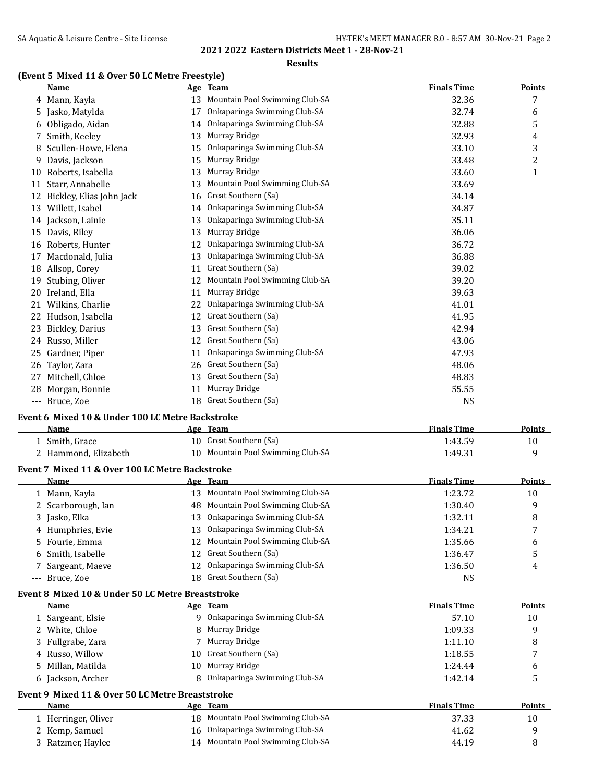#### **Results**

## **(Event 5 Mixed 11 & Over 50 LC Metre Freestyle)**

|     | Name                     |    | Age Team                       | <b>Finals Time</b> | <b>Points</b> |
|-----|--------------------------|----|--------------------------------|--------------------|---------------|
|     | 4 Mann, Kayla            | 13 | Mountain Pool Swimming Club-SA | 32.36              | 7             |
| 5   | Jasko, Matylda           | 17 | Onkaparinga Swimming Club-SA   | 32.74              | 6             |
| 6   | Obligado, Aidan          | 14 | Onkaparinga Swimming Club-SA   | 32.88              | 5             |
| 7   | Smith, Keeley            | 13 | Murray Bridge                  | 32.93              | 4             |
| 8   | Scullen-Howe, Elena      | 15 | Onkaparinga Swimming Club-SA   | 33.10              | 3             |
| 9   | Davis, Jackson           | 15 | Murray Bridge                  | 33.48              | 2             |
| 10  | Roberts, Isabella        | 13 | Murray Bridge                  | 33.60              | $\mathbf{1}$  |
| 11  | Starr, Annabelle         | 13 | Mountain Pool Swimming Club-SA | 33.69              |               |
| 12  | Bickley, Elias John Jack | 16 | Great Southern (Sa)            | 34.14              |               |
| 13  | Willett, Isabel          | 14 | Onkaparinga Swimming Club-SA   | 34.87              |               |
| 14  | Jackson, Lainie          | 13 | Onkaparinga Swimming Club-SA   | 35.11              |               |
| 15  | Davis, Riley             | 13 | Murray Bridge                  | 36.06              |               |
| 16  | Roberts, Hunter          | 12 | Onkaparinga Swimming Club-SA   | 36.72              |               |
| 17  | Macdonald, Julia         | 13 | Onkaparinga Swimming Club-SA   | 36.88              |               |
| 18  | Allsop, Corey            | 11 | Great Southern (Sa)            | 39.02              |               |
| 19  | Stubing, Oliver          | 12 | Mountain Pool Swimming Club-SA | 39.20              |               |
| 20  | Ireland, Ella            | 11 | Murray Bridge                  | 39.63              |               |
| 21  | Wilkins, Charlie         | 22 | Onkaparinga Swimming Club-SA   | 41.01              |               |
| 22  | Hudson, Isabella         | 12 | Great Southern (Sa)            | 41.95              |               |
| 23  | Bickley, Darius          | 13 | Great Southern (Sa)            | 42.94              |               |
| 24  | Russo, Miller            | 12 | Great Southern (Sa)            | 43.06              |               |
| 25  | Gardner, Piper           | 11 | Onkaparinga Swimming Club-SA   | 47.93              |               |
| 26  | Taylor, Zara             | 26 | Great Southern (Sa)            | 48.06              |               |
| 27  | Mitchell, Chloe          | 13 | Great Southern (Sa)            | 48.83              |               |
| 28  | Morgan, Bonnie           | 11 | Murray Bridge                  | 55.55              |               |
| --- | Bruce, Zoe               | 18 | Great Southern (Sa)            | <b>NS</b>          |               |
|     |                          |    |                                |                    |               |

### **Event 6 Mixed 10 & Under 100 LC Metre Backstroke**

| Name                 | Team<br>Age 1                     | <b>Finals Time</b> | <b>Points</b> |
|----------------------|-----------------------------------|--------------------|---------------|
| Smith. Grace         | 10 Great Southern (Sa)            | 1:43.59            |               |
| 2 Hammond, Elizabeth | 10 Mountain Pool Swimming Club-SA | 1:49.31            |               |

### **Event 7 Mixed 11 & Over 100 LC Metre Backstroke**

| Name               | Age Team                          | <b>Finals Time</b> | <b>Points</b> |
|--------------------|-----------------------------------|--------------------|---------------|
| 1 Mann, Kayla      | 13 Mountain Pool Swimming Club-SA | 1:23.72            | 10            |
| 2 Scarborough, Ian | 48 Mountain Pool Swimming Club-SA | 1:30.40            | 9             |
| 3 Jasko, Elka      | 13 Onkaparinga Swimming Club-SA   | 1:32.11            | 8             |
| 4 Humphries, Evie  | 13 Onkaparinga Swimming Club-SA   | 1:34.21            |               |
| 5 Fourie, Emma     | 12 Mountain Pool Swimming Club-SA | 1:35.66            | 6             |
| 6 Smith, Isabelle  | 12 Great Southern (Sa)            | 1:36.47            |               |
| 7 Sargeant, Maeve  | 12 Onkaparinga Swimming Club-SA   | 1:36.50            | 4             |
| --- Bruce, Zoe     | 18 Great Southern (Sa)            | NS                 |               |

#### **Event 8 Mixed 10 & Under 50 LC Metre Breaststroke**

| <b>Name</b>       |    | Age Team                       | <b>Finals Time</b> | <b>Points</b>  |
|-------------------|----|--------------------------------|--------------------|----------------|
| Sargeant, Elsie   | Q. | Onkaparinga Swimming Club-SA   | 57.10              | 10             |
| 2 White, Chloe    |    | 8 Murray Bridge                | 1:09.33            | q              |
| 3 Fullgrabe, Zara |    | 7 Murray Bridge                | 1:11.10            | 8              |
| 4 Russo, Willow   |    | 10 Great Southern (Sa)         | 1:18.55            | $\overline{ }$ |
| 5 Millan, Matilda |    | 10 Murray Bridge               | 1:24.44            | b              |
| 6 Jackson, Archer |    | 8 Onkaparinga Swimming Club-SA | 1:42.14            |                |
|                   |    |                                |                    |                |

#### **Event 9 Mixed 11 & Over 50 LC Metre Breaststroke**

| Name                | Team<br>Age                       | <b>Finals Time</b> | Points |
|---------------------|-----------------------------------|--------------------|--------|
| 1 Herringer, Oliver | 18 Mountain Pool Swimming Club-SA | 37.33              | 10     |
| 2 Kemp, Samuel      | 16 Onkaparinga Swimming Club-SA   | 41.62              |        |
| 3 Ratzmer, Haylee   | 14 Mountain Pool Swimming Club-SA | 44.19              |        |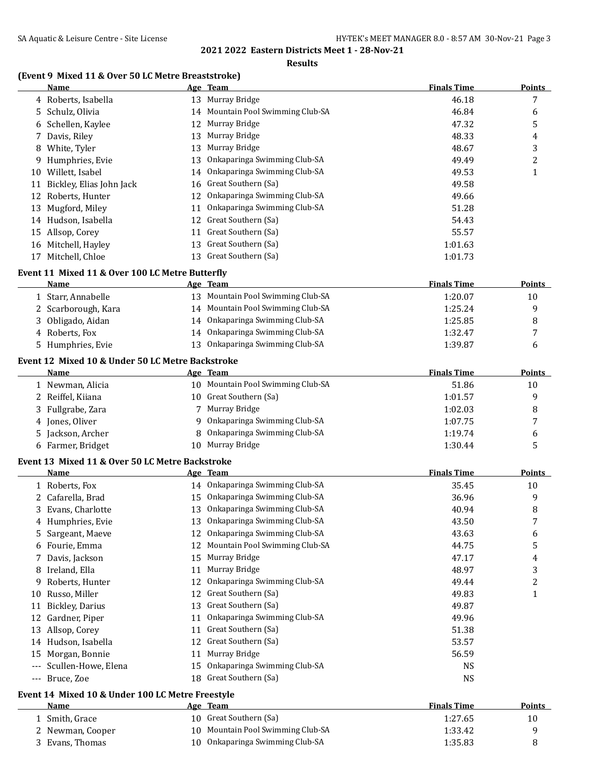$\overline{a}$ 

### **2021 2022 Eastern Districts Meet 1 - 28-Nov-21**

### **Results**

## **(Event 9 Mixed 11 & Over 50 LC Metre Breaststroke)**

|    | Name                                             |    | Age Team                          | <b>Finals Time</b> | <b>Points</b> |
|----|--------------------------------------------------|----|-----------------------------------|--------------------|---------------|
|    | 4 Roberts, Isabella                              |    | 13 Murray Bridge                  | 46.18              | 7             |
|    | 5 Schulz, Olivia                                 |    | 14 Mountain Pool Swimming Club-SA | 46.84              | 6             |
| 6  | Schellen, Kaylee                                 | 12 | Murray Bridge                     | 47.32              | 5             |
| 7. | Davis, Riley                                     | 13 | Murray Bridge                     | 48.33              | 4             |
| 8  | White, Tyler                                     | 13 | Murray Bridge                     | 48.67              | 3             |
| 9. | Humphries, Evie                                  | 13 | Onkaparinga Swimming Club-SA      | 49.49              | 2             |
| 10 | Willett, Isabel                                  | 14 | Onkaparinga Swimming Club-SA      | 49.53              | 1             |
| 11 | Bickley, Elias John Jack                         | 16 | Great Southern (Sa)               | 49.58              |               |
|    | 12 Roberts, Hunter                               | 12 | Onkaparinga Swimming Club-SA      | 49.66              |               |
|    | 13 Mugford, Miley                                | 11 | Onkaparinga Swimming Club-SA      | 51.28              |               |
|    | 14 Hudson, Isabella                              | 12 | Great Southern (Sa)               | 54.43              |               |
|    | 15 Allsop, Corey                                 | 11 | Great Southern (Sa)               | 55.57              |               |
|    | 16 Mitchell, Hayley                              | 13 | Great Southern (Sa)               | 1:01.63            |               |
|    | 17 Mitchell, Chloe                               |    | 13 Great Southern (Sa)            | 1:01.73            |               |
|    |                                                  |    |                                   |                    |               |
|    | Event 11 Mixed 11 & Over 100 LC Metre Butterfly  |    | Age Team                          | <b>Finals Time</b> |               |
|    | Name                                             |    |                                   |                    | Points        |
|    | 1 Starr, Annabelle                               |    | 13 Mountain Pool Swimming Club-SA | 1:20.07            | 10            |
|    | 2 Scarborough, Kara                              |    | 14 Mountain Pool Swimming Club-SA | 1:25.24            | 9             |
| 3. | Obligado, Aidan                                  |    | 14 Onkaparinga Swimming Club-SA   | 1:25.85            | 8             |
|    | 4 Roberts, Fox                                   |    | 14 Onkaparinga Swimming Club-SA   | 1:32.47            | 7             |
|    | 5 Humphries, Evie                                |    | 13 Onkaparinga Swimming Club-SA   | 1:39.87            | 6             |
|    | Event 12 Mixed 10 & Under 50 LC Metre Backstroke |    |                                   |                    |               |
|    | Name                                             |    | <u>Age Team</u>                   | <b>Finals Time</b> | <b>Points</b> |
|    | 1 Newman, Alicia                                 |    | 10 Mountain Pool Swimming Club-SA | 51.86              | 10            |
|    | 2 Reiffel, Kiiana                                |    | 10 Great Southern (Sa)            | 1:01.57            | 9             |
| 3  | Fullgrabe, Zara                                  |    | 7 Murray Bridge                   | 1:02.03            | 8             |
|    | 4 Jones, Oliver                                  | 9  | Onkaparinga Swimming Club-SA      | 1:07.75            | 7             |
|    | 5 Jackson, Archer                                | 8  | Onkaparinga Swimming Club-SA      | 1:19.74            | 6             |
|    | 6 Farmer, Bridget                                | 10 | Murray Bridge                     | 1:30.44            | 5             |
|    | Event 13 Mixed 11 & Over 50 LC Metre Backstroke  |    |                                   |                    |               |
|    | Name                                             |    | Age Team                          | <b>Finals Time</b> | <b>Points</b> |
|    | 1 Roberts, Fox                                   |    | 14 Onkaparinga Swimming Club-SA   | 35.45              | 10            |
|    | 2 Cafarella, Brad                                |    | 15 Onkaparinga Swimming Club-SA   | 36.96              | 9             |
|    | 3 Evans, Charlotte                               |    | 13 Onkaparinga Swimming Club-SA   | 40.94              | 8             |
|    | 4 Humphries, Evie                                |    | 13 Onkaparinga Swimming Club-SA   | 43.50              | 7             |
|    | 5 Sargeant, Maeve                                |    | 12 Onkaparinga Swimming Club-SA   | 43.63              | 6             |
|    | 6 Fourie, Emma                                   |    | 12 Mountain Pool Swimming Club-SA | 44.75              | 5             |
| 7  | Davis, Jackson                                   |    | 15 Murray Bridge                  | 47.17              | 4             |
| 8  | Ireland, Ella                                    | 11 | Murray Bridge                     | 48.97              | 3             |
| 9. | Roberts, Hunter                                  | 12 | Onkaparinga Swimming Club-SA      | 49.44              | 2             |
| 10 | Russo, Miller                                    | 12 | Great Southern (Sa)               | 49.83              | $\mathbf{1}$  |
|    | 11 Bickley, Darius                               | 13 | Great Southern (Sa)               | 49.87              |               |
|    | 12 Gardner, Piper                                | 11 | Onkaparinga Swimming Club-SA      | 49.96              |               |
|    | 13 Allsop, Corey                                 |    | 11 Great Southern (Sa)            | 51.38              |               |
|    | 14 Hudson, Isabella                              |    | 12 Great Southern (Sa)            | 53.57              |               |
|    | 15 Morgan, Bonnie                                |    | 11 Murray Bridge                  | 56.59              |               |
|    | --- Scullen-Howe, Elena                          | 15 | Onkaparinga Swimming Club-SA      | <b>NS</b>          |               |
|    | --- Bruce, Zoe                                   |    | 18 Great Southern (Sa)            | <b>NS</b>          |               |
|    |                                                  |    |                                   |                    |               |
|    | Event 14 Mixed 10 & Under 100 LC Metre Freestyle |    |                                   |                    |               |

| Name             | Age Team                          | <b>Finals Time</b> | Points |
|------------------|-----------------------------------|--------------------|--------|
| 1 Smith, Grace   | 10 Great Southern (Sa)            | 1:27.65            | 10     |
| 2 Newman, Cooper | 10 Mountain Pool Swimming Club-SA | 1:33.42            |        |
| 3 Evans, Thomas  | 10 Onkaparinga Swimming Club-SA   | 1:35.83            |        |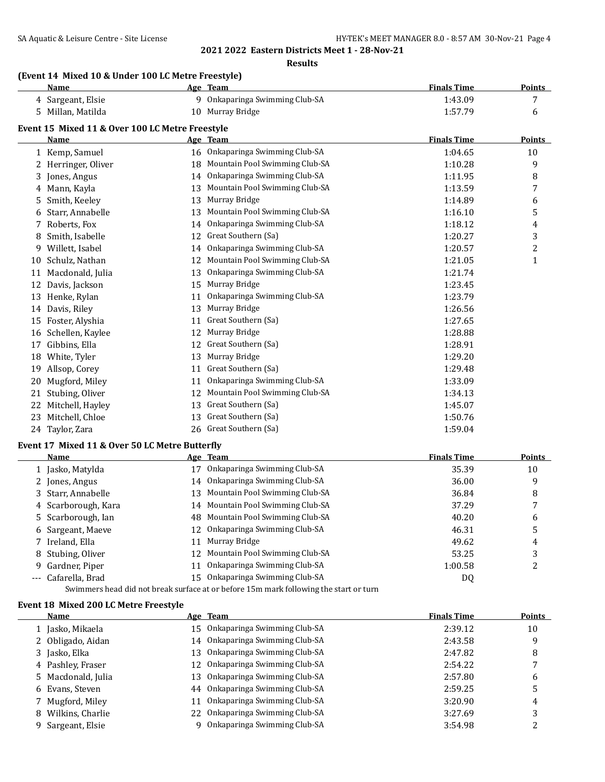**Results**

## **(Event 14 Mixed 10 & Under 100 LC Metre Freestyle)**

|    | <b>Name</b>                                     |    | Age Team                       | <b>Finals Time</b> | <b>Points</b> |
|----|-------------------------------------------------|----|--------------------------------|--------------------|---------------|
|    | 4 Sargeant, Elsie                               | q  | Onkaparinga Swimming Club-SA   | 1:43.09            | 7             |
| 5. | Millan, Matilda                                 | 10 | Murray Bridge                  | 1:57.79            | 6             |
|    | Event 15 Mixed 11 & Over 100 LC Metre Freestyle |    |                                |                    |               |
|    | Name                                            |    | Age Team                       | <b>Finals Time</b> | Points        |
|    | 1 Kemp, Samuel                                  | 16 | Onkaparinga Swimming Club-SA   | 1:04.65            | 10            |
|    | Herringer, Oliver                               | 18 | Mountain Pool Swimming Club-SA | 1:10.28            | 9             |
| 3  | Jones, Angus                                    | 14 | Onkaparinga Swimming Club-SA   | 1:11.95            | 8             |
| 4  | Mann, Kayla                                     | 13 | Mountain Pool Swimming Club-SA | 1:13.59            | 7             |
| 5  | Smith, Keeley                                   | 13 | Murray Bridge                  | 1:14.89            | 6             |
| 6  | Starr, Annabelle                                | 13 | Mountain Pool Swimming Club-SA | 1:16.10            | 5             |
| 7  | Roberts, Fox                                    | 14 | Onkaparinga Swimming Club-SA   | 1:18.12            | 4             |
| 8  | Smith, Isabelle                                 | 12 | Great Southern (Sa)            | 1:20.27            | 3             |
| 9  | Willett, Isabel                                 | 14 | Onkaparinga Swimming Club-SA   | 1:20.57            | 2             |
| 10 | Schulz, Nathan                                  | 12 | Mountain Pool Swimming Club-SA | 1:21.05            | 1             |
| 11 | Macdonald, Julia                                | 13 | Onkaparinga Swimming Club-SA   | 1:21.74            |               |
| 12 | Davis, Jackson                                  | 15 | Murray Bridge                  | 1:23.45            |               |
| 13 | Henke, Rylan                                    | 11 | Onkaparinga Swimming Club-SA   | 1:23.79            |               |
| 14 | Davis, Riley                                    | 13 | Murray Bridge                  | 1:26.56            |               |
| 15 | Foster, Alyshia                                 | 11 | Great Southern (Sa)            | 1:27.65            |               |
| 16 | Schellen, Kaylee                                | 12 | Murray Bridge                  | 1:28.88            |               |
| 17 | Gibbins, Ella                                   | 12 | Great Southern (Sa)            | 1:28.91            |               |
| 18 | White, Tyler                                    | 13 | Murray Bridge                  | 1:29.20            |               |
| 19 | Allsop, Corey                                   | 11 | Great Southern (Sa)            | 1:29.48            |               |
| 20 | Mugford, Miley                                  | 11 | Onkaparinga Swimming Club-SA   | 1:33.09            |               |
| 21 | Stubing, Oliver                                 | 12 | Mountain Pool Swimming Club-SA | 1:34.13            |               |
| 22 | Mitchell, Hayley                                | 13 | Great Southern (Sa)            | 1:45.07            |               |
| 23 | Mitchell, Chloe                                 | 13 | Great Southern (Sa)            | 1:50.76            |               |
| 24 | Taylor, Zara                                    | 26 | Great Southern (Sa)            | 1:59.04            |               |

## **Event 17 Mixed 11 & Over 50 LC Metre Butterfly**

| <b>Name</b>         |    | Age Team                          | <b>Finals Time</b> | <b>Points</b> |
|---------------------|----|-----------------------------------|--------------------|---------------|
| 1 Jasko, Matylda    |    | Onkaparinga Swimming Club-SA      | 35.39              | 10            |
| 2 Jones, Angus      |    | 14 Onkaparinga Swimming Club-SA   | 36.00              | 9             |
| 3 Starr, Annabelle  | 13 | Mountain Pool Swimming Club-SA    | 36.84              | 8             |
| 4 Scarborough, Kara |    | 14 Mountain Pool Swimming Club-SA | 37.29              |               |
| 5 Scarborough, Ian  |    | 48 Mountain Pool Swimming Club-SA | 40.20              | 6             |
| 6 Sargeant, Maeve   |    | 12 Onkaparinga Swimming Club-SA   | 46.31              | 5             |
| 7 Ireland, Ella     | 11 | Murray Bridge                     | 49.62              | 4             |
| 8 Stubing, Oliver   |    | 12 Mountain Pool Swimming Club-SA | 53.25              |               |
| 9 Gardner, Piper    |    | Onkaparinga Swimming Club-SA      | 1:00.58            |               |
| --- Cafarella, Brad |    | Onkaparinga Swimming Club-SA      | DQ                 |               |
|                     |    |                                   |                    |               |

Swimmers head did not break surface at or before 15m mark following the start or turn

### **Event 18 Mixed 200 LC Metre Freestyle**

| <b>Name</b>        |                 | Age Team                        | <b>Finals Time</b> | <b>Points</b> |
|--------------------|-----------------|---------------------------------|--------------------|---------------|
| 1 Jasko, Mikaela   |                 | 15 Onkaparinga Swimming Club-SA | 2:39.12            | 10            |
| 2 Obligado, Aidan  |                 | 14 Onkaparinga Swimming Club-SA | 2:43.58            | 9             |
| 3 Jasko, Elka      |                 | 13 Onkaparinga Swimming Club-SA | 2:47.82            | 8             |
| 4 Pashley, Fraser  | 12 <sup>1</sup> | Onkaparinga Swimming Club-SA    | 2:54.22            |               |
| 5 Macdonald, Julia |                 | 13 Onkaparinga Swimming Club-SA | 2:57.80            | 6             |
| 6 Evans, Steven    |                 | 44 Onkaparinga Swimming Club-SA | 2:59.25            | 5             |
| 7 Mugford, Miley   | 11              | Onkaparinga Swimming Club-SA    | 3:20.90            | 4             |
| 8 Wilkins, Charlie | 22              | Onkaparinga Swimming Club-SA    | 3:27.69            |               |
| 9 Sargeant, Elsie  |                 | Onkaparinga Swimming Club-SA    | 3:54.98            |               |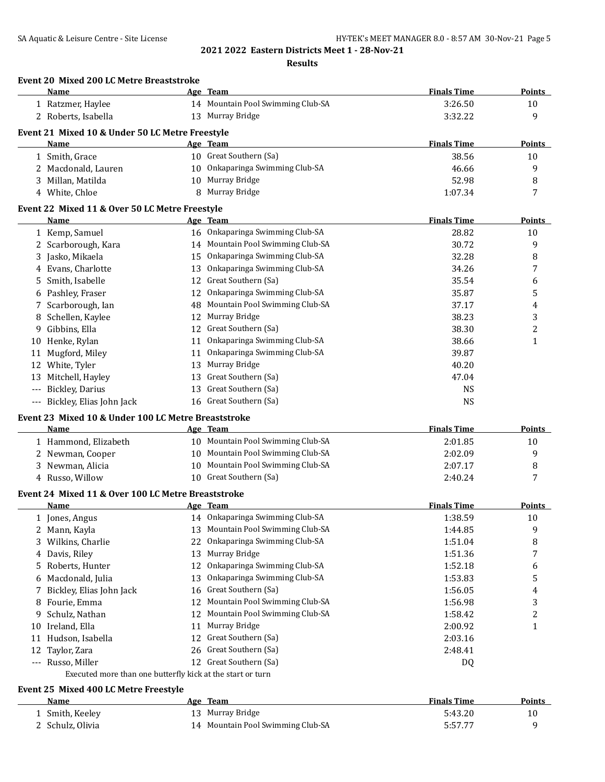**Results**

|     | <b>Event 20 Mixed 200 LC Metre Breaststroke</b><br>Name    |    | Age Team                          | <b>Finals Time</b> | Points         |
|-----|------------------------------------------------------------|----|-----------------------------------|--------------------|----------------|
|     | 1 Ratzmer, Haylee                                          |    | 14 Mountain Pool Swimming Club-SA | 3:26.50            | 10             |
|     | 2 Roberts, Isabella                                        |    | 13 Murray Bridge                  | 3:32.22            | 9              |
|     |                                                            |    |                                   |                    |                |
|     | Event 21 Mixed 10 & Under 50 LC Metre Freestyle<br>Name    |    | Age Team                          | <b>Finals Time</b> | <b>Points</b>  |
|     | 1 Smith, Grace                                             |    | 10 Great Southern (Sa)            | 38.56              | 10             |
|     | 2 Macdonald, Lauren                                        |    | 10 Onkaparinga Swimming Club-SA   | 46.66              | 9              |
|     | 3 Millan, Matilda                                          |    | 10 Murray Bridge                  | 52.98              | 8              |
|     | 4 White, Chloe                                             | 8  | Murray Bridge                     | 1:07.34            | 7              |
|     |                                                            |    |                                   |                    |                |
|     | Event 22 Mixed 11 & Over 50 LC Metre Freestyle             |    |                                   |                    |                |
|     | Name                                                       |    | Age Team                          | <b>Finals Time</b> | <b>Points</b>  |
|     | 1 Kemp, Samuel                                             |    | 16 Onkaparinga Swimming Club-SA   | 28.82              | 10             |
|     | 2 Scarborough, Kara                                        |    | 14 Mountain Pool Swimming Club-SA | 30.72              | 9              |
|     | 3 Jasko, Mikaela                                           |    | 15 Onkaparinga Swimming Club-SA   | 32.28              | 8              |
|     | 4 Evans, Charlotte                                         | 13 | Onkaparinga Swimming Club-SA      | 34.26              | 7              |
|     | 5 Smith, Isabelle                                          | 12 | Great Southern (Sa)               | 35.54              | 6              |
|     | 6 Pashley, Fraser                                          | 12 | Onkaparinga Swimming Club-SA      | 35.87              | 5              |
| 7   | Scarborough, Ian                                           | 48 | Mountain Pool Swimming Club-SA    | 37.17              | 4              |
|     | 8 Schellen, Kaylee                                         | 12 | Murray Bridge                     | 38.23              | 3              |
|     | 9 Gibbins, Ella                                            | 12 | Great Southern (Sa)               | 38.30              | $\overline{c}$ |
|     | 10 Henke, Rylan                                            | 11 | Onkaparinga Swimming Club-SA      | 38.66              | $\mathbf{1}$   |
| 11  | Mugford, Miley                                             | 11 | Onkaparinga Swimming Club-SA      | 39.87              |                |
| 12  | White, Tyler                                               | 13 | Murray Bridge                     | 40.20              |                |
|     | 13 Mitchell, Hayley                                        | 13 | Great Southern (Sa)               | 47.04              |                |
| --- | Bickley, Darius                                            | 13 | Great Southern (Sa)               | <b>NS</b>          |                |
|     | Bickley, Elias John Jack                                   |    | 16 Great Southern (Sa)            | <b>NS</b>          |                |
|     | Event 23 Mixed 10 & Under 100 LC Metre Breaststroke        |    |                                   |                    |                |
|     | Name                                                       |    | Age Team                          | <b>Finals Time</b> | <b>Points</b>  |
|     | 1 Hammond, Elizabeth                                       |    | 10 Mountain Pool Swimming Club-SA | 2:01.85            | 10             |
|     | 2 Newman, Cooper                                           |    | 10 Mountain Pool Swimming Club-SA | 2:02.09            | 9              |
|     | 3 Newman, Alicia                                           |    | 10 Mountain Pool Swimming Club-SA | 2:07.17            | 8              |
|     | 4 Russo, Willow                                            |    | 10 Great Southern (Sa)            | 2:40.24            | 7              |
|     | Event 24 Mixed 11 & Over 100 LC Metre Breaststroke         |    |                                   |                    |                |
|     | Name                                                       |    | Age Team                          | <b>Finals Time</b> | <b>Points</b>  |
|     | 1 Jones, Angus                                             |    | 14 Onkaparinga Swimming Club-SA   | 1:38.59            | 10             |
|     | 2 Mann, Kayla                                              | 13 | Mountain Pool Swimming Club-SA    | 1:44.85            | 9              |
| 3   | Wilkins, Charlie                                           | 22 | Onkaparinga Swimming Club-SA      | 1:51.04            | 8              |
|     |                                                            | 13 | Murray Bridge                     |                    |                |
|     | 4 Davis, Riley                                             |    | Onkaparinga Swimming Club-SA      | 1:51.36            | 7              |
|     | 5 Roberts, Hunter                                          | 12 |                                   | 1:52.18            | 6              |
|     | 6 Macdonald, Julia                                         | 13 | Onkaparinga Swimming Club-SA      | 1:53.83            | 5              |
| 7   | Bickley, Elias John Jack                                   | 16 | Great Southern (Sa)               | 1:56.05            | 4              |
| 8   | Fourie, Emma                                               | 12 | Mountain Pool Swimming Club-SA    | 1:56.98            | 3              |
| 9   | Schulz, Nathan                                             | 12 | Mountain Pool Swimming Club-SA    | 1:58.42            | 2              |
|     | 10 Ireland, Ella                                           | 11 | Murray Bridge                     | 2:00.92            | $\mathbf{1}$   |
| 11  | Hudson, Isabella                                           | 12 | Great Southern (Sa)               | 2:03.16            |                |
| 12  | Taylor, Zara                                               |    | 26 Great Southern (Sa)            | 2:48.41            |                |
|     | --- Russo, Miller                                          |    | 12 Great Southern (Sa)            | DQ                 |                |
|     | Executed more than one butterfly kick at the start or turn |    |                                   |                    |                |
|     | Event 25 Mixed 400 LC Metre Freestyle                      |    |                                   |                    |                |

# **Name Age Team Age Team Finals Time Points** 1 Smith, Keeley 13 Murray Bridge 5:43.20 5:43.20 10 2 Schulz, Olivia 14 Mountain Pool Swimming Club-SA 5:57.77 9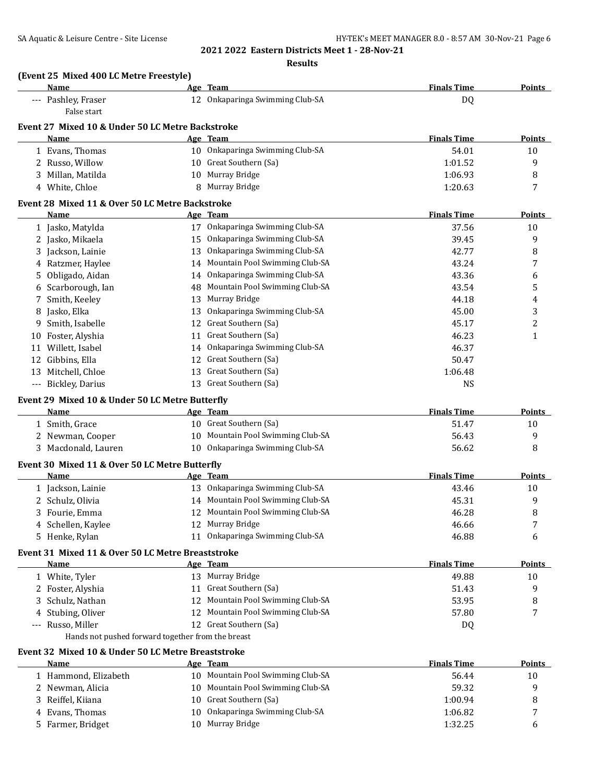**Results**

|    | (Event 25 Mixed 400 LC Metre Freestyle)<br>Name         | Age Team                          | <b>Finals Time</b> | <b>Points</b> |
|----|---------------------------------------------------------|-----------------------------------|--------------------|---------------|
|    | --- Pashley, Fraser                                     | 12 Onkaparinga Swimming Club-SA   | DQ                 |               |
|    | False start                                             |                                   |                    |               |
|    | Event 27 Mixed 10 & Under 50 LC Metre Backstroke        |                                   |                    |               |
|    | Name                                                    | Age Team                          | <b>Finals Time</b> | <b>Points</b> |
|    | 1 Evans, Thomas                                         | 10 Onkaparinga Swimming Club-SA   | 54.01              | 10            |
|    | 2 Russo, Willow                                         | 10 Great Southern (Sa)            | 1:01.52            | 9             |
| 3  | Millan, Matilda                                         | 10 Murray Bridge                  | 1:06.93            | 8             |
|    | 4 White, Chloe                                          | 8 Murray Bridge                   | 1:20.63            | 7             |
|    | Event 28 Mixed 11 & Over 50 LC Metre Backstroke         |                                   |                    |               |
|    | Name                                                    | Age Team                          | <b>Finals Time</b> | Points        |
|    | 1 Jasko, Matylda                                        | 17 Onkaparinga Swimming Club-SA   | 37.56              | 10            |
|    | 2 Jasko, Mikaela                                        | 15 Onkaparinga Swimming Club-SA   | 39.45              | 9             |
| 3  | Jackson, Lainie                                         | 13 Onkaparinga Swimming Club-SA   | 42.77              | 8             |
|    | 4 Ratzmer, Haylee                                       | 14 Mountain Pool Swimming Club-SA | 43.24              | 7             |
| 5  | Obligado, Aidan                                         | 14 Onkaparinga Swimming Club-SA   | 43.36              | 6             |
|    | Scarborough, Ian                                        | 48 Mountain Pool Swimming Club-SA | 43.54              | 5             |
|    | Smith, Keeley                                           | 13 Murray Bridge                  | 44.18              | 4             |
| 8  | Jasko, Elka                                             | 13 Onkaparinga Swimming Club-SA   | 45.00              | 3             |
| 9  | Smith, Isabelle                                         | 12 Great Southern (Sa)            | 45.17              | 2             |
| 10 | Foster, Alyshia                                         | 11 Great Southern (Sa)            | 46.23              | $\mathbf{1}$  |
| 11 | Willett, Isabel                                         | 14 Onkaparinga Swimming Club-SA   | 46.37              |               |
|    | 12 Gibbins, Ella                                        | 12 Great Southern (Sa)            | 50.47              |               |
|    | 13 Mitchell, Chloe                                      | 13 Great Southern (Sa)            | 1:06.48            |               |
|    | --- Bickley, Darius                                     | 13 Great Southern (Sa)            | <b>NS</b>          |               |
|    |                                                         |                                   |                    |               |
|    | Event 29 Mixed 10 & Under 50 LC Metre Butterfly<br>Name | Age Team                          | <b>Finals Time</b> | Points        |
|    | 1 Smith, Grace                                          | 10 Great Southern (Sa)            | 51.47              | 10            |
|    |                                                         | 10 Mountain Pool Swimming Club-SA |                    |               |
|    | 2 Newman, Cooper                                        |                                   | 56.43              | 9             |
|    | 3 Macdonald, Lauren                                     | 10 Onkaparinga Swimming Club-SA   | 56.62              | 8             |
|    | Event 30 Mixed 11 & Over 50 LC Metre Butterfly          |                                   |                    |               |
|    | Name                                                    | Age Team                          | <b>Finals Time</b> | Points        |
|    | 1 Jackson, Lainie                                       | 13 Onkaparinga Swimming Club-SA   | 43.46              | 10            |
|    | 2 Schulz, Olivia                                        | 14 Mountain Pool Swimming Club-SA | 45.31              | 9             |
|    | 3 Fourie, Emma                                          | 12 Mountain Pool Swimming Club-SA | 46.28              | 8             |
|    | 4 Schellen, Kaylee                                      | 12 Murray Bridge                  | 46.66              | 7             |
|    | 5 Henke, Rylan                                          | 11 Onkaparinga Swimming Club-SA   | 46.88              | 6             |
|    | Event 31 Mixed 11 & Over 50 LC Metre Breaststroke       |                                   |                    |               |
|    | <b>Name</b>                                             | Age Team                          | <b>Finals Time</b> | <b>Points</b> |
|    | 1 White, Tyler                                          | 13 Murray Bridge                  | 49.88              | 10            |
|    |                                                         |                                   |                    |               |
|    | 2 Foster, Alyshia                                       | 11 Great Southern (Sa)            | 51.43              | 9             |
|    | 3 Schulz, Nathan                                        | 12 Mountain Pool Swimming Club-SA | 53.95              | 8             |
|    | 4 Stubing, Oliver                                       | 12 Mountain Pool Swimming Club-SA | 57.80              | 7             |
|    | --- Russo, Miller                                       | 12 Great Southern (Sa)            | DQ                 |               |
|    | Hands not pushed forward together from the breast       |                                   |                    |               |
|    | Event 32 Mixed 10 & Under 50 LC Metre Breaststroke      |                                   |                    |               |
|    | Name                                                    | Age Team                          | <b>Finals Time</b> | <b>Points</b> |
|    | 1 Hammond, Elizabeth                                    | 10 Mountain Pool Swimming Club-SA | 56.44              | 10            |
|    | 2 Newman, Alicia                                        | 10 Mountain Pool Swimming Club-SA | 59.32              | 9             |
|    | 3 Reiffel, Kiiana                                       | 10 Great Southern (Sa)            | 1:00.94            | 8             |
| 4  | Evans, Thomas                                           | 10 Onkaparinga Swimming Club-SA   | 1:06.82            | 7             |